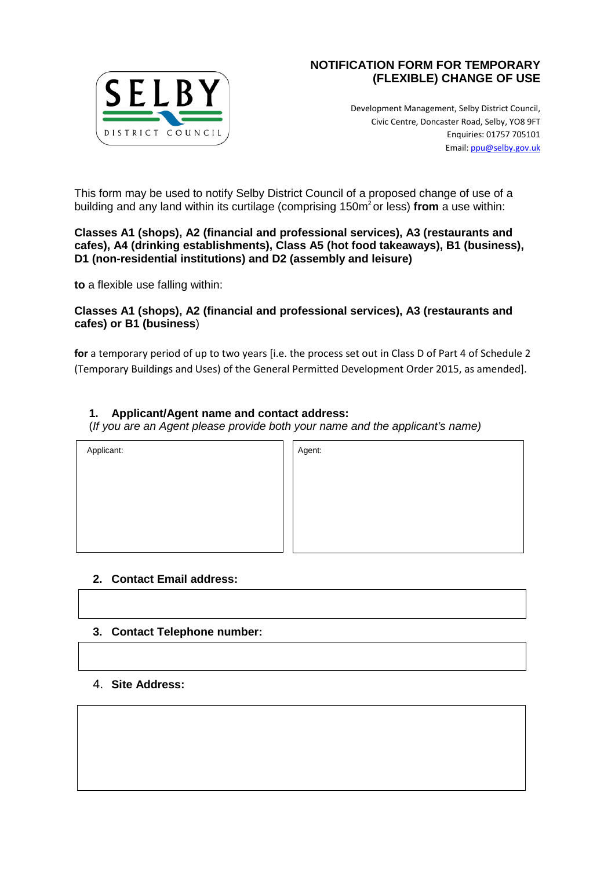

# **NOTIFICATION FORM FOR TEMPORARY (FLEXIBLE) CHANGE OF USE**

Development Management, Selby District Council, Civic Centre, Doncaster Road, Selby, YO8 9FT Enquiries: 01757 705101 Email: [ppu@selby.gov.uk](mailto:ppu@selby.gov.uk) 

This form may be used to notify Selby District Council of a proposed change of use of a building and any land within its curtilage (comprising 150m2 or less) **from** a use within:

#### **Classes A1 (shops), A2 (financial and professional services), A3 (restaurants and cafes), A4 (drinking establishments), Class A5 (hot food takeaways), B1 (business), D1 (non-residential institutions) and D2 (assembly and leisure)**

**to** a flexible use falling within:

### **Classes A1 (shops), A2 (financial and professional services), A3 (restaurants and cafes) or B1 (business**)

**for** a temporary period of up to two years [i.e. the process set out in Class D of Part 4 of Schedule 2 (Temporary Buildings and Uses) of the General Permitted Development Order 2015, as amended].

## **1. Applicant/Agent name and contact address:**

(*If you are an Agent please provide both your name and the applicant's name)* 

Applicant: Applicant: Agent: Agent: Agent: Agent: Agent: Agent: Agent: Agent: Agent: Agent: Agent: Agent: Agent: Agent: Agent: Agent: Agent: Agent: Agent: Agent: Agent: Agent: Agent: Agent: Agent: Agent: Agent: Agent: Agen

## **2. Contact Email address:**

## **3. Contact Telephone number:**

### 4. **Site Address:**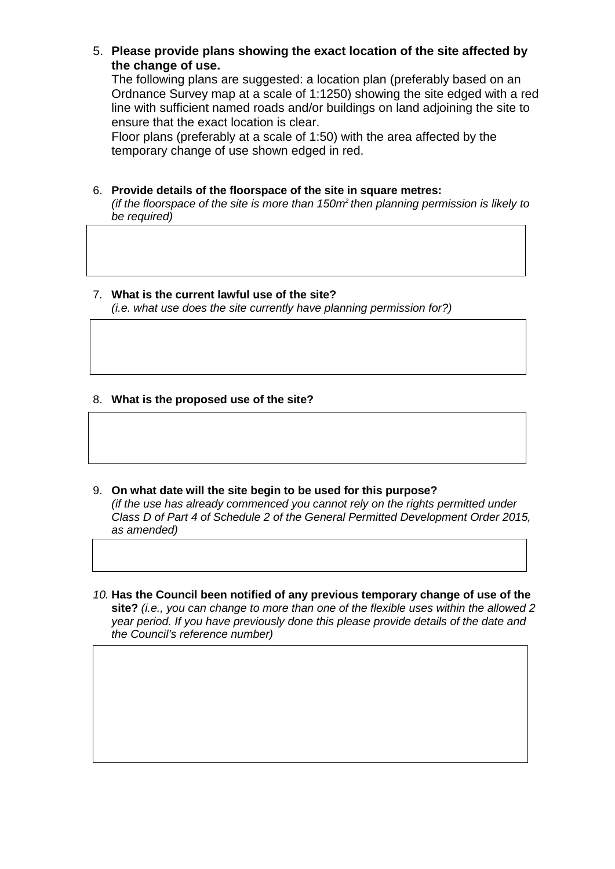5. **Please provide plans showing the exact location of the site affected by the change of use.** 

The following plans are suggested: a location plan (preferably based on an Ordnance Survey map at a scale of 1:1250) showing the site edged with a red line with sufficient named roads and/or buildings on land adjoining the site to ensure that the exact location is clear.

Floor plans (preferably at a scale of 1:50) with the area affected by the temporary change of use shown edged in red.

6. **Provide details of the floorspace of the site in square metres:**

*(if the floorspace of the site is more than 150m2 then planning permission is likely to be required)* 

#### 7. **What is the current lawful use of the site?**

*(i.e. what use does the site currently have planning permission for?)* 

### 8. **What is the proposed use of the site?**

- 9. **On what date will the site begin to be used for this purpose?**  *(if the use has already commenced you cannot rely on the rights permitted under Class D of Part 4 of Schedule 2 of the General Permitted Development Order 2015, as amended)*
- *10.* **Has the Council been notified of any previous temporary change of use of the site?** *(i.e., you can change to more than one of the flexible uses within the allowed 2 year period. If you have previously done this please provide details of the date and the Council's reference number)*